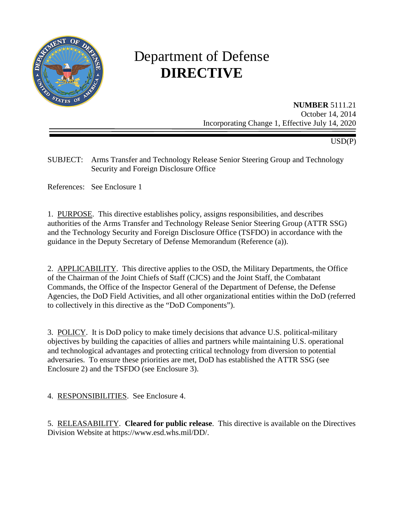

# Department of Defense **DIRECTIVE**

**NUMBER** 5111.21 October 14, 2014 Incorporating Change 1, Effective July 14, 2020

USD(P)

SUBJECT: Arms Transfer and Technology Release Senior Steering Group and Technology Security and Foreign Disclosure Office

References: See Enclosure 1

1. PURPOSE. This directive establishes policy, assigns responsibilities, and describes authorities of the Arms Transfer and Technology Release Senior Steering Group (ATTR SSG) and the Technology Security and Foreign Disclosure Office (TSFDO) in accordance with the guidance in the Deputy Secretary of Defense Memorandum (Reference (a)).

2. APPLICABILITY. This directive applies to the OSD, the Military Departments, the Office of the Chairman of the Joint Chiefs of Staff (CJCS) and the Joint Staff, the Combatant Commands, the Office of the Inspector General of the Department of Defense, the Defense Agencies, the DoD Field Activities, and all other organizational entities within the DoD (referred to collectively in this directive as the "DoD Components").

3. POLICY. It is DoD policy to make timely decisions that advance U.S. political-military objectives by building the capacities of allies and partners while maintaining U.S. operational and technological advantages and protecting critical technology from diversion to potential adversaries. To ensure these priorities are met, DoD has established the ATTR SSG (see Enclosure 2) and the TSFDO (see Enclosure 3).

4. RESPONSIBILITIES. See Enclosure 4.

5. RELEASABILITY. **Cleared for public release**. This directive is available on the Directives Division Website at https://www.esd.whs.mil/DD/.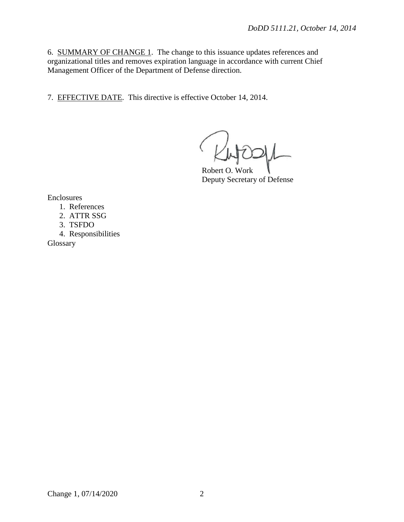6. SUMMARY OF CHANGE 1. The change to this issuance updates references and organizational titles and removes expiration language in accordance with current Chief Management Officer of the Department of Defense direction.

7. EFFECTIVE DATE. This directive is effective October 14, 2014.

Robert O. Work Deputy Secretary of Defense

Enclosures

- 1. References
- 2. ATTR SSG
- 3. TSFDO
- 4. Responsibilities

Glossary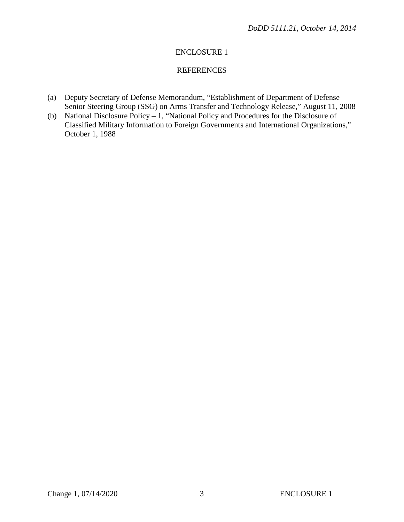# **REFERENCES**

- (a) Deputy Secretary of Defense Memorandum, "Establishment of Department of Defense Senior Steering Group (SSG) on Arms Transfer and Technology Release," August 11, 2008
- (b) National Disclosure Policy 1, "National Policy and Procedures for the Disclosure of Classified Military Information to Foreign Governments and International Organizations," October 1, 1988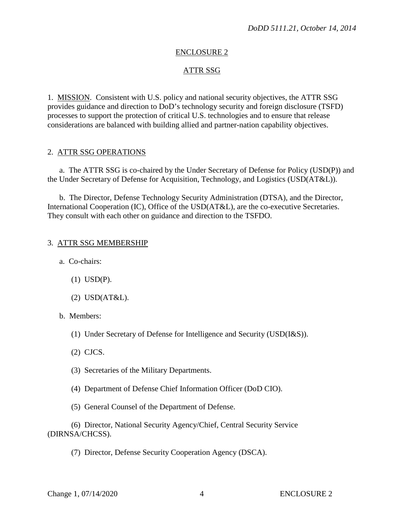## ATTR SSG

1. MISSION. Consistent with U.S. policy and national security objectives, the ATTR SSG provides guidance and direction to DoD's technology security and foreign disclosure (TSFD) processes to support the protection of critical U.S. technologies and to ensure that release considerations are balanced with building allied and partner-nation capability objectives.

#### 2. ATTR SSG OPERATIONS

a. The ATTR SSG is co-chaired by the Under Secretary of Defense for Policy (USD(P)) and the Under Secretary of Defense for Acquisition, Technology, and Logistics (USD(AT&L)).

b. The Director, Defense Technology Security Administration (DTSA), and the Director, International Cooperation (IC), Office of the USD(AT&L), are the co-executive Secretaries. They consult with each other on guidance and direction to the TSFDO.

#### 3. ATTR SSG MEMBERSHIP

a. Co-chairs:

- (1) USD(P).
- (2) USD(AT&L).
- b. Members:
	- (1) Under Secretary of Defense for Intelligence and Security (USD(I&S)).
	- (2) CJCS.
	- (3) Secretaries of the Military Departments.
	- (4) Department of Defense Chief Information Officer (DoD CIO).
	- (5) General Counsel of the Department of Defense.

(6) Director, National Security Agency/Chief, Central Security Service (DIRNSA/CHCSS).

(7) Director, Defense Security Cooperation Agency (DSCA).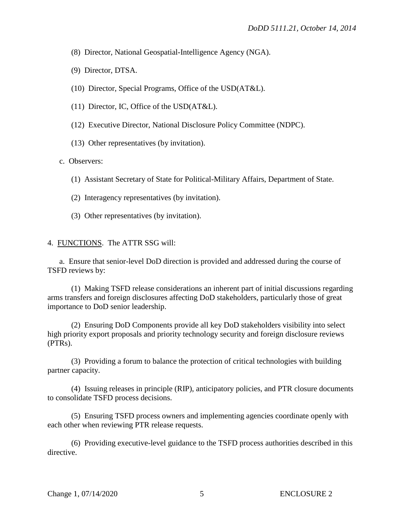(8) Director, National Geospatial-Intelligence Agency (NGA).

(9) Director, DTSA.

- (10) Director, Special Programs, Office of the USD(AT&L).
- (11) Director, IC, Office of the USD(AT&L).
- (12) Executive Director, National Disclosure Policy Committee (NDPC).
- (13) Other representatives (by invitation).

c. Observers:

- (1) Assistant Secretary of State for Political-Military Affairs, Department of State.
- (2) Interagency representatives (by invitation).
- (3) Other representatives (by invitation).

#### 4. FUNCTIONS. The ATTR SSG will:

a. Ensure that senior-level DoD direction is provided and addressed during the course of TSFD reviews by:

(1) Making TSFD release considerations an inherent part of initial discussions regarding arms transfers and foreign disclosures affecting DoD stakeholders, particularly those of great importance to DoD senior leadership.

(2) Ensuring DoD Components provide all key DoD stakeholders visibility into select high priority export proposals and priority technology security and foreign disclosure reviews (PTRs).

(3) Providing a forum to balance the protection of critical technologies with building partner capacity.

(4) Issuing releases in principle (RIP), anticipatory policies, and PTR closure documents to consolidate TSFD process decisions.

(5) Ensuring TSFD process owners and implementing agencies coordinate openly with each other when reviewing PTR release requests.

(6) Providing executive-level guidance to the TSFD process authorities described in this directive.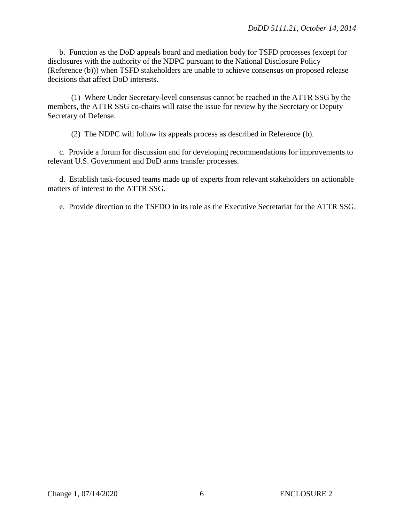b. Function as the DoD appeals board and mediation body for TSFD processes (except for disclosures with the authority of the NDPC pursuant to the National Disclosure Policy (Reference (b))) when TSFD stakeholders are unable to achieve consensus on proposed release decisions that affect DoD interests.

(1) Where Under Secretary-level consensus cannot be reached in the ATTR SSG by the members, the ATTR SSG co-chairs will raise the issue for review by the Secretary or Deputy Secretary of Defense.

(2) The NDPC will follow its appeals process as described in Reference (b).

c. Provide a forum for discussion and for developing recommendations for improvements to relevant U.S. Government and DoD arms transfer processes.

d. Establish task-focused teams made up of experts from relevant stakeholders on actionable matters of interest to the ATTR SSG.

e. Provide direction to the TSFDO in its role as the Executive Secretariat for the ATTR SSG.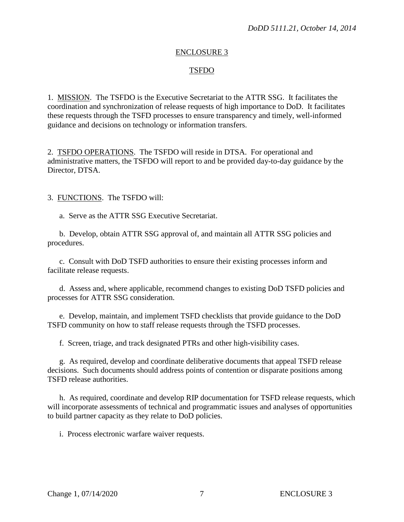## TSFDO

1. MISSION. The TSFDO is the Executive Secretariat to the ATTR SSG. It facilitates the coordination and synchronization of release requests of high importance to DoD. It facilitates these requests through the TSFD processes to ensure transparency and timely, well-informed guidance and decisions on technology or information transfers.

2. TSFDO OPERATIONS. The TSFDO will reside in DTSA. For operational and administrative matters, the TSFDO will report to and be provided day-to-day guidance by the Director, DTSA.

3. FUNCTIONS. The TSFDO will:

a. Serve as the ATTR SSG Executive Secretariat.

b. Develop, obtain ATTR SSG approval of, and maintain all ATTR SSG policies and procedures.

c. Consult with DoD TSFD authorities to ensure their existing processes inform and facilitate release requests.

d. Assess and, where applicable, recommend changes to existing DoD TSFD policies and processes for ATTR SSG consideration.

e. Develop, maintain, and implement TSFD checklists that provide guidance to the DoD TSFD community on how to staff release requests through the TSFD processes.

f. Screen, triage, and track designated PTRs and other high-visibility cases.

g. As required, develop and coordinate deliberative documents that appeal TSFD release decisions. Such documents should address points of contention or disparate positions among TSFD release authorities.

h. As required, coordinate and develop RIP documentation for TSFD release requests, which will incorporate assessments of technical and programmatic issues and analyses of opportunities to build partner capacity as they relate to DoD policies.

i. Process electronic warfare waiver requests.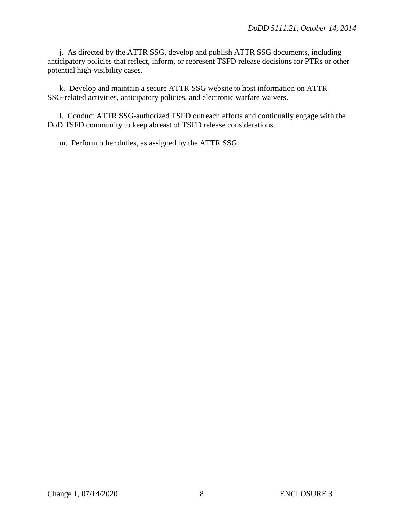j. As directed by the ATTR SSG, develop and publish ATTR SSG documents, including anticipatory policies that reflect, inform, or represent TSFD release decisions for PTRs or other potential high-visibility cases.

k. Develop and maintain a secure ATTR SSG website to host information on ATTR SSG-related activities, anticipatory policies, and electronic warfare waivers.

l. Conduct ATTR SSG-authorized TSFD outreach efforts and continually engage with the DoD TSFD community to keep abreast of TSFD release considerations.

m. Perform other duties, as assigned by the ATTR SSG.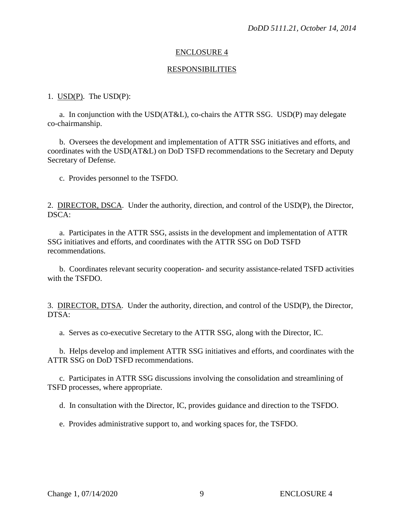#### RESPONSIBILITIES

### 1. USD(P). The USD(P):

a. In conjunction with the USD(AT&L), co-chairs the ATTR SSG. USD(P) may delegate co-chairmanship.

b. Oversees the development and implementation of ATTR SSG initiatives and efforts, and coordinates with the USD(AT&L) on DoD TSFD recommendations to the Secretary and Deputy Secretary of Defense.

c. Provides personnel to the TSFDO.

2. DIRECTOR, DSCA. Under the authority, direction, and control of the USD(P), the Director, DSCA:

a. Participates in the ATTR SSG, assists in the development and implementation of ATTR SSG initiatives and efforts, and coordinates with the ATTR SSG on DoD TSFD recommendations.

b. Coordinates relevant security cooperation- and security assistance-related TSFD activities with the TSFDO.

3. DIRECTOR, DTSA. Under the authority, direction, and control of the USD(P), the Director, DTSA:

a. Serves as co-executive Secretary to the ATTR SSG, along with the Director, IC.

b. Helps develop and implement ATTR SSG initiatives and efforts, and coordinates with the ATTR SSG on DoD TSFD recommendations.

c. Participates in ATTR SSG discussions involving the consolidation and streamlining of TSFD processes, where appropriate.

d. In consultation with the Director, IC, provides guidance and direction to the TSFDO.

e. Provides administrative support to, and working spaces for, the TSFDO.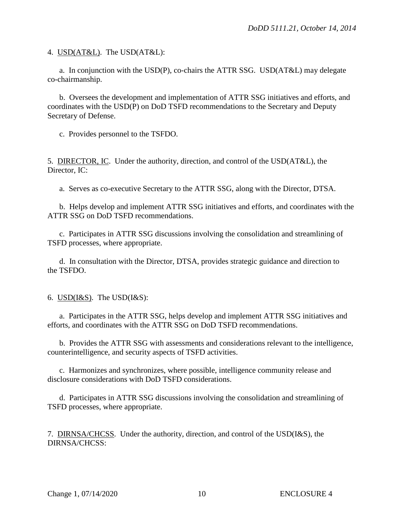4. USD(AT&L). The USD(AT&L):

a. In conjunction with the USD(P), co-chairs the ATTR SSG. USD(AT&L) may delegate co-chairmanship.

b. Oversees the development and implementation of ATTR SSG initiatives and efforts, and coordinates with the USD(P) on DoD TSFD recommendations to the Secretary and Deputy Secretary of Defense.

c. Provides personnel to the TSFDO.

5. DIRECTOR, IC. Under the authority, direction, and control of the USD(AT&L), the Director, IC:

a. Serves as co-executive Secretary to the ATTR SSG, along with the Director, DTSA.

b. Helps develop and implement ATTR SSG initiatives and efforts, and coordinates with the ATTR SSG on DoD TSFD recommendations.

c. Participates in ATTR SSG discussions involving the consolidation and streamlining of TSFD processes, where appropriate.

d. In consultation with the Director, DTSA, provides strategic guidance and direction to the TSFDO.

6. USD $(I&S)$ . The USD $(I&S)$ :

a. Participates in the ATTR SSG, helps develop and implement ATTR SSG initiatives and efforts, and coordinates with the ATTR SSG on DoD TSFD recommendations.

b. Provides the ATTR SSG with assessments and considerations relevant to the intelligence, counterintelligence, and security aspects of TSFD activities.

c. Harmonizes and synchronizes, where possible, intelligence community release and disclosure considerations with DoD TSFD considerations.

d. Participates in ATTR SSG discussions involving the consolidation and streamlining of TSFD processes, where appropriate.

7. DIRNSA/CHCSS. Under the authority, direction, and control of the USD(I&S), the DIRNSA/CHCSS: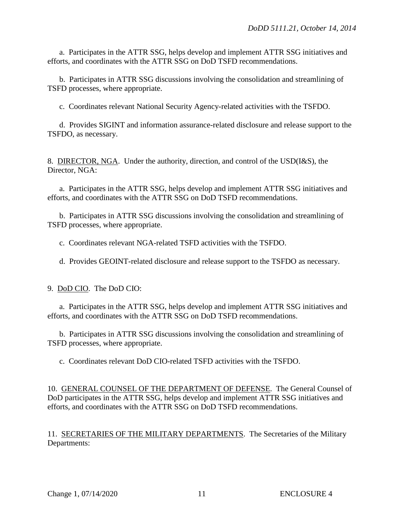a. Participates in the ATTR SSG, helps develop and implement ATTR SSG initiatives and efforts, and coordinates with the ATTR SSG on DoD TSFD recommendations.

b. Participates in ATTR SSG discussions involving the consolidation and streamlining of TSFD processes, where appropriate.

c. Coordinates relevant National Security Agency-related activities with the TSFDO.

d. Provides SIGINT and information assurance-related disclosure and release support to the TSFDO, as necessary.

8. DIRECTOR, NGA. Under the authority, direction, and control of the USD(I&S), the Director, NGA:

a. Participates in the ATTR SSG, helps develop and implement ATTR SSG initiatives and efforts, and coordinates with the ATTR SSG on DoD TSFD recommendations.

b. Participates in ATTR SSG discussions involving the consolidation and streamlining of TSFD processes, where appropriate.

c. Coordinates relevant NGA-related TSFD activities with the TSFDO.

d. Provides GEOINT-related disclosure and release support to the TSFDO as necessary.

9. DoD CIO. The DoD CIO:

a. Participates in the ATTR SSG, helps develop and implement ATTR SSG initiatives and efforts, and coordinates with the ATTR SSG on DoD TSFD recommendations.

b. Participates in ATTR SSG discussions involving the consolidation and streamlining of TSFD processes, where appropriate.

c. Coordinates relevant DoD CIO-related TSFD activities with the TSFDO.

10. GENERAL COUNSEL OF THE DEPARTMENT OF DEFENSE. The General Counsel of DoD participates in the ATTR SSG, helps develop and implement ATTR SSG initiatives and efforts, and coordinates with the ATTR SSG on DoD TSFD recommendations.

11. SECRETARIES OF THE MILITARY DEPARTMENTS. The Secretaries of the Military Departments: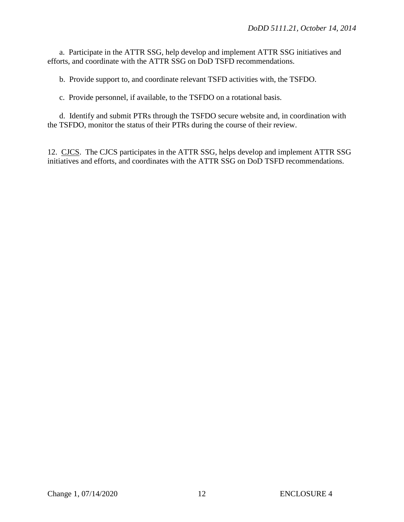a. Participate in the ATTR SSG, help develop and implement ATTR SSG initiatives and efforts, and coordinate with the ATTR SSG on DoD TSFD recommendations.

b. Provide support to, and coordinate relevant TSFD activities with, the TSFDO.

c. Provide personnel, if available, to the TSFDO on a rotational basis.

d. Identify and submit PTRs through the TSFDO secure website and, in coordination with the TSFDO, monitor the status of their PTRs during the course of their review.

12. CJCS. The CJCS participates in the ATTR SSG, helps develop and implement ATTR SSG initiatives and efforts, and coordinates with the ATTR SSG on DoD TSFD recommendations.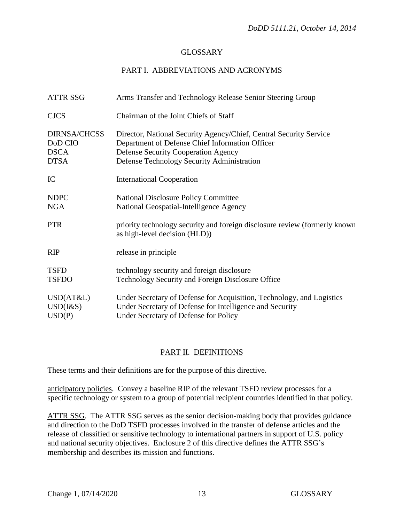# GLOSSARY

# PART I. ABBREVIATIONS AND ACRONYMS

| <b>ATTR SSG</b>                                              | Arms Transfer and Technology Release Senior Steering Group                                                                                                                                                        |
|--------------------------------------------------------------|-------------------------------------------------------------------------------------------------------------------------------------------------------------------------------------------------------------------|
| <b>CJCS</b>                                                  | Chairman of the Joint Chiefs of Staff                                                                                                                                                                             |
| <b>DIRNSA/CHCSS</b><br>DoD CIO<br><b>DSCA</b><br><b>DTSA</b> | Director, National Security Agency/Chief, Central Security Service<br>Department of Defense Chief Information Officer<br><b>Defense Security Cooperation Agency</b><br>Defense Technology Security Administration |
| IC                                                           | <b>International Cooperation</b>                                                                                                                                                                                  |
| <b>NDPC</b><br><b>NGA</b>                                    | <b>National Disclosure Policy Committee</b><br>National Geospatial-Intelligence Agency                                                                                                                            |
| <b>PTR</b>                                                   | priority technology security and foreign disclosure review (formerly known<br>as high-level decision (HLD))                                                                                                       |
| RIP                                                          | release in principle                                                                                                                                                                                              |
| <b>TSFD</b><br><b>TSFDO</b>                                  | technology security and foreign disclosure<br>Technology Security and Foreign Disclosure Office                                                                                                                   |
| USD(AT&L)<br>USD(I&S)<br>USD(P)                              | Under Secretary of Defense for Acquisition, Technology, and Logistics<br>Under Secretary of Defense for Intelligence and Security<br>Under Secretary of Defense for Policy                                        |

# PART II. DEFINITIONS

These terms and their definitions are for the purpose of this directive.

anticipatory policies. Convey a baseline RIP of the relevant TSFD review processes for a specific technology or system to a group of potential recipient countries identified in that policy.

ATTR SSG. The ATTR SSG serves as the senior decision-making body that provides guidance and direction to the DoD TSFD processes involved in the transfer of defense articles and the release of classified or sensitive technology to international partners in support of U.S. policy and national security objectives. Enclosure 2 of this directive defines the ATTR SSG's membership and describes its mission and functions.